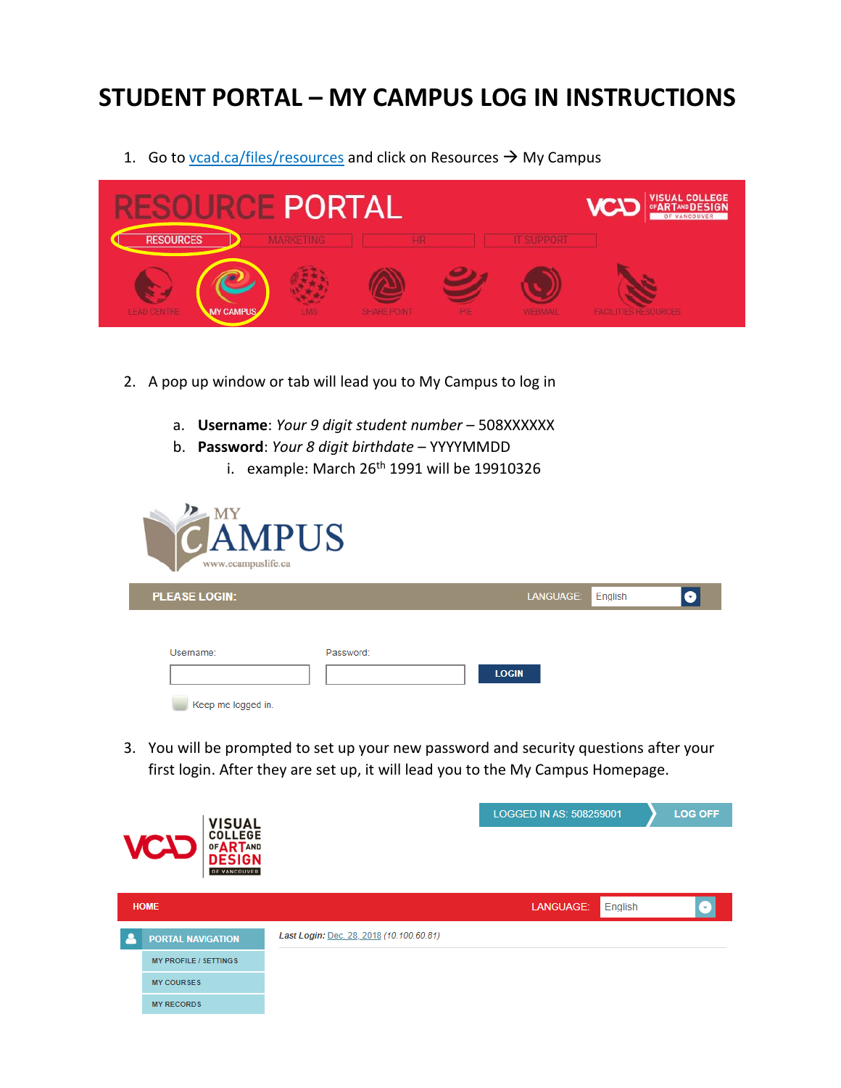## **STUDENT PORTAL – MY CAMPUS LOG IN INSTRUCTIONS**

1. Go to  $v\text{cad.} \text{cal/}$ files/resources and click on Resources  $\rightarrow$  My Campus



- 2. A pop up window or tab will lead you to My Campus to log in
	- a. **Username**: *Your 9 digit student number* 508XXXXXX
	- b. **Password**: *Your 8 digit birthdate* YYYYMMDD
		- i. example: March  $26<sup>th</sup>$  1991 will be 19910326



3. You will be prompted to set up your new password and security questions after your first login. After they are set up, it will lead you to the My Campus Homepage.

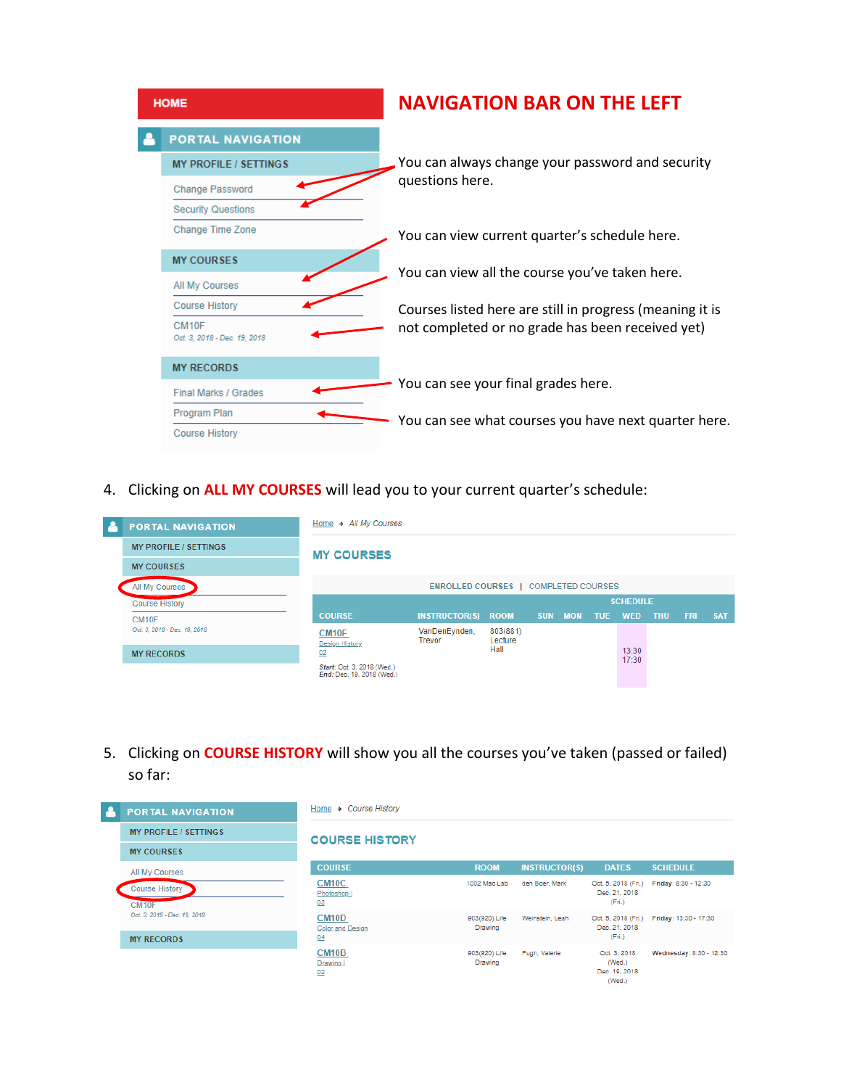| <b>HOME</b> |                                       | <b>NAVIGATION BAR ON THE LEFT</b>                        |  |  |  |  |
|-------------|---------------------------------------|----------------------------------------------------------|--|--|--|--|
|             | <b>PORTAL NAVIGATION</b>              |                                                          |  |  |  |  |
|             | <b>MY PROFILE / SETTINGS</b>          | You can always change your password and security         |  |  |  |  |
|             | Change Password                       | questions here.                                          |  |  |  |  |
|             | <b>Security Questions</b>             |                                                          |  |  |  |  |
|             | Change Time Zone                      | You can view current quarter's schedule here.            |  |  |  |  |
|             | <b>MY COURSES</b>                     | You can view all the course you've taken here.           |  |  |  |  |
|             | All My Courses                        |                                                          |  |  |  |  |
|             | <b>Course History</b>                 | Courses listed here are still in progress (meaning it is |  |  |  |  |
|             | CM10F<br>Oct. 3, 2018 - Dec. 19, 2018 | not completed or no grade has been received yet)         |  |  |  |  |
|             | <b>MY RECORDS</b>                     |                                                          |  |  |  |  |
|             | <b>Final Marks / Grades</b>           | You can see your final grades here.                      |  |  |  |  |
|             | Program Plan                          | You can see what courses you have next quarter here.     |  |  |  |  |
|             | <b>Course History</b>                 |                                                          |  |  |  |  |

4. Clicking on **ALL MY COURSES** will lead you to your current quarter's schedule:

|  | <b>PORTAL NAVIGATION</b>                          | Home → All My Courses                                   |                                |                             |                |  |            |                 |            |            |            |
|--|---------------------------------------------------|---------------------------------------------------------|--------------------------------|-----------------------------|----------------|--|------------|-----------------|------------|------------|------------|
|  | <b>MY PROFILE / SETTINGS</b>                      | <b>MY COURSES</b>                                       |                                |                             |                |  |            |                 |            |            |            |
|  | <b>MY COURSES</b>                                 |                                                         |                                |                             |                |  |            |                 |            |            |            |
|  | All My Courses                                    | <b>ENROLLED COURSES   COMPLETED COURSES</b>             |                                |                             |                |  |            |                 |            |            |            |
|  | <b>Course History</b>                             |                                                         |                                |                             |                |  |            | <b>SCHEDULE</b> |            |            |            |
|  | CM <sub>10F</sub><br>Oct. 3, 2018 - Dec. 19, 2018 | <b>COURSE</b>                                           | INSTRUCTOR(S) ROOM SUN MON     |                             |                |  | <b>TUE</b> | <b>WED</b>      | <b>THU</b> | <b>FRI</b> | <b>SAT</b> |
|  |                                                   | CM <sub>10F</sub><br><b>Design History</b>              | VanDenEynden,<br><b>Trevor</b> | 803(881)<br>Lecture<br>Hall |                |  |            |                 |            |            |            |
|  | <b>MY RECORDS</b>                                 | 02                                                      |                                |                             | 13:30<br>17:30 |  |            |                 |            |            |            |
|  |                                                   | Start: Oct. 3, 2018 (Wed.)<br>End: Dec. 19, 2018 (Wed.) |                                |                             |                |  |            |                 |            |            |            |

5. Clicking on **COURSE HISTORY** will show you all the courses you've taken (passed or failed) so far:

| <b>PORTAL NAVIGATION</b>                          | Home $\rightarrow$ Course History            |                          |                      |                                                   |                         |
|---------------------------------------------------|----------------------------------------------|--------------------------|----------------------|---------------------------------------------------|-------------------------|
| <b>MY PROFILE / SETTINGS</b>                      | <b>COURSE HISTORY</b>                        |                          |                      |                                                   |                         |
| <b>MY COURSES</b>                                 |                                              |                          |                      |                                                   |                         |
| All My Courses                                    | <b>COURSE</b>                                | <b>ROOM</b>              | <b>INSTRUCTOR(S)</b> | <b>DATES</b>                                      | <b>SCHEDULE</b>         |
| <b>Course History</b><br>CM <sub>10</sub> F       | CM <sub>10</sub> C<br>Photoshop I<br>03      | 1002 Mac Lab             | den Boer, Mark       | Oct. 5, 2018 (Fri.)<br>Dec. 21, 2018<br>(Fri.)    | Friday: 8:30 - 12:30    |
| Oct. 3, 2018 - Dec. 19, 2018<br><b>MY RECORDS</b> | CM <sub>10</sub> D<br>Color and Design<br>04 | 903(920) Life<br>Drawing | Weinstein, Leah      | Oct. 5, 2018 (Fri.)<br>Dec. 21, 2018<br>(Fri.)    | Friday: 13:30 - 17:30   |
|                                                   | CM <sub>10</sub> B<br>Drawing I<br>02        | 903(920) Life<br>Drawing | Pugh, Valerie        | Oct. 3, 2018<br>(Wed.)<br>Dec. 19, 2018<br>(Wed.) | Wednesday: 8:30 - 12:30 |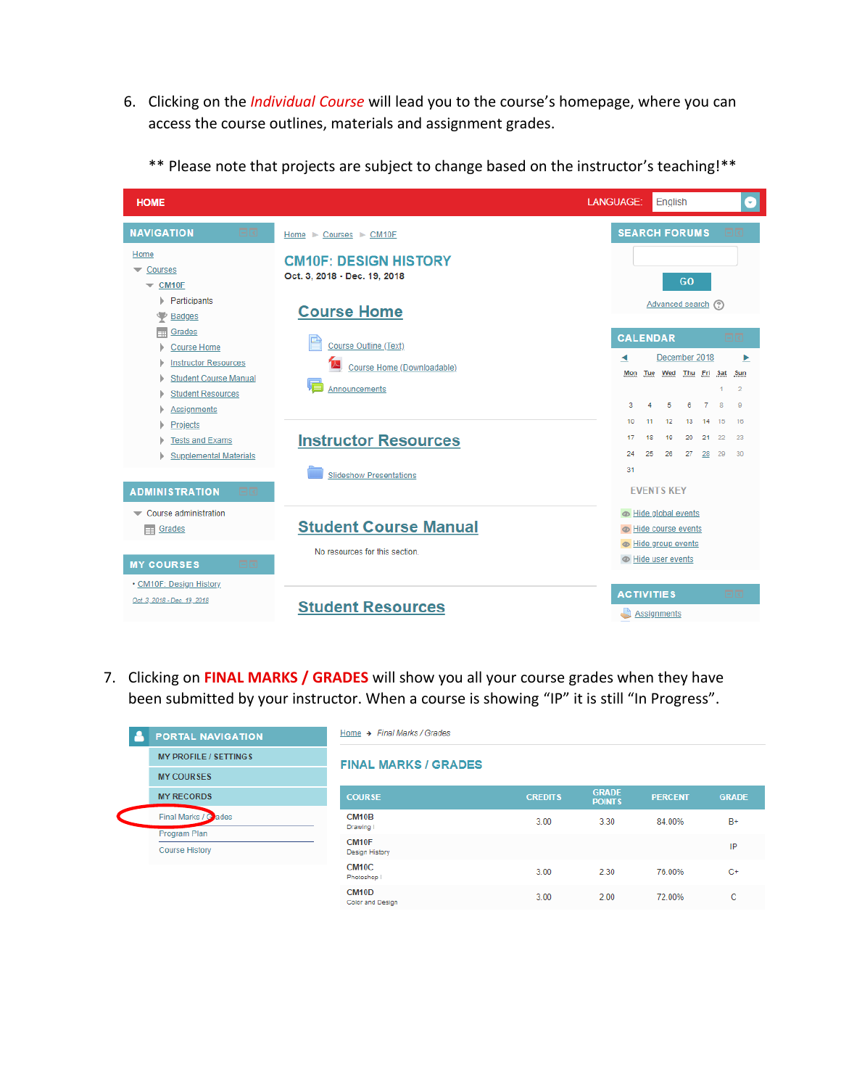6. Clicking on the *Individual Course* will lead you to the course's homepage, where you can access the course outlines, materials and assignment grades.



\*\* Please note that projects are subject to change based on the instructor's teaching!\*\*

7. Clicking on **FINAL MARKS / GRADES** will show you all your course grades when they have been submitted by your instructor. When a course is showing "IP" it is still "In Progress".

| <b>PORTAL NAVIGATION</b>     | Home → Final Marks / Grades                |                |                               |                |              |
|------------------------------|--------------------------------------------|----------------|-------------------------------|----------------|--------------|
| <b>MY PROFILE / SETTINGS</b> | <b>FINAL MARKS / GRADES</b>                |                |                               |                |              |
| <b>MY COURSES</b>            |                                            |                |                               |                |              |
| <b>MY RECORDS</b>            | <b>COURSE</b>                              | <b>CREDITS</b> | <b>GRADE</b><br><b>POINTS</b> | <b>PERCENT</b> | <b>GRADI</b> |
| Final Marks / Gades          | CM <sub>10</sub> B<br>Drawing I            | 3.00           | 3.30                          | 84.00%         | $R+$         |
| Program Plan                 |                                            |                |                               |                |              |
| <b>Course History</b>        | CM <sub>10F</sub><br><b>Design History</b> |                |                               |                | IP           |
|                              | CM <sub>10</sub> C<br>Photoshop I          | 3.00           | 2.30                          | 76.00%         | $C+$         |
|                              | CM <sub>10</sub> D<br>Color and Design     | 3.00           | 2.00                          | 72.00%         | c            |